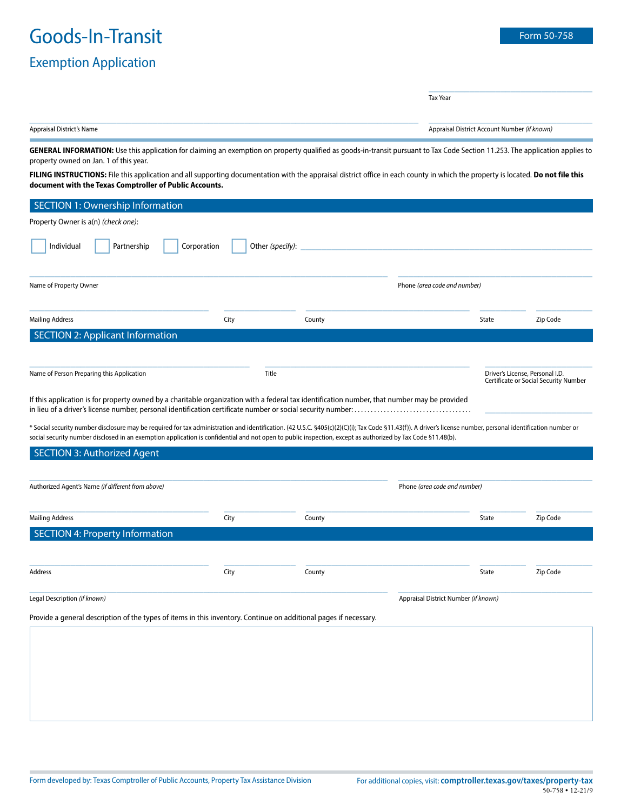# Goods-In-Transit Form 50-758

### Exemption Application

\_\_\_\_\_\_\_\_\_\_\_\_\_\_\_\_\_\_\_\_\_\_\_\_\_\_\_\_\_\_\_\_

Tax Year

| Annraic<br>at's Name<br>־דורור | . <nown<br>* Number </nown<br> |
|--------------------------------|--------------------------------|
|                                |                                |

GENERAL INFORMATION: Use this application for claiming an exemption on property qualified as goods-in-transit pursuant to Tax Code Section 11.253. The application applies to property owned on Jan. 1 of this year.

**FILING INSTRUCTIONS:** File this application and all supporting documentation with the appraisal district office in each county in which the property is located. **Do not file this document with the Texas Comptroller of Public Accounts.**

| <b>SECTION 1: Ownership Information</b>                                                                                                                                                                                                                                                                                                                                      |             |                  |                                      |                              |                                                                          |  |  |  |
|------------------------------------------------------------------------------------------------------------------------------------------------------------------------------------------------------------------------------------------------------------------------------------------------------------------------------------------------------------------------------|-------------|------------------|--------------------------------------|------------------------------|--------------------------------------------------------------------------|--|--|--|
| Property Owner is a(n) (check one):                                                                                                                                                                                                                                                                                                                                          |             |                  |                                      |                              |                                                                          |  |  |  |
| Individual<br>Partnership                                                                                                                                                                                                                                                                                                                                                    | Corporation | Other (specify): |                                      |                              |                                                                          |  |  |  |
| Name of Property Owner                                                                                                                                                                                                                                                                                                                                                       |             |                  | Phone (area code and number)         |                              |                                                                          |  |  |  |
| <b>Mailing Address</b>                                                                                                                                                                                                                                                                                                                                                       | City        | County           |                                      | <b>State</b>                 | Zip Code                                                                 |  |  |  |
| <b>SECTION 2: Applicant Information</b>                                                                                                                                                                                                                                                                                                                                      |             |                  |                                      |                              |                                                                          |  |  |  |
|                                                                                                                                                                                                                                                                                                                                                                              |             |                  |                                      |                              |                                                                          |  |  |  |
| Name of Person Preparing this Application                                                                                                                                                                                                                                                                                                                                    |             | Title            |                                      |                              | Driver's License, Personal I.D.<br>Certificate or Social Security Number |  |  |  |
| If this application is for property owned by a charitable organization with a federal tax identification number, that number may be provided                                                                                                                                                                                                                                 |             |                  |                                      |                              |                                                                          |  |  |  |
| * Social security number disclosure may be required for tax administration and identification. (42 U.S.C. §405(c)(2)(C)(i); Tax Code §11.43(f)). A driver's license number, personal identification number or<br>social security number disclosed in an exemption application is confidential and not open to public inspection, except as authorized by Tax Code §11.48(b). |             |                  |                                      |                              |                                                                          |  |  |  |
| <b>SECTION 3: Authorized Agent</b>                                                                                                                                                                                                                                                                                                                                           |             |                  |                                      |                              |                                                                          |  |  |  |
|                                                                                                                                                                                                                                                                                                                                                                              |             |                  |                                      |                              |                                                                          |  |  |  |
| Authorized Agent's Name (if different from above)                                                                                                                                                                                                                                                                                                                            |             |                  |                                      | Phone (area code and number) |                                                                          |  |  |  |
|                                                                                                                                                                                                                                                                                                                                                                              |             |                  |                                      |                              |                                                                          |  |  |  |
| <b>Mailing Address</b>                                                                                                                                                                                                                                                                                                                                                       | City        | County           |                                      | State                        | Zip Code                                                                 |  |  |  |
| <b>SECTION 4: Property Information</b>                                                                                                                                                                                                                                                                                                                                       |             |                  |                                      |                              |                                                                          |  |  |  |
|                                                                                                                                                                                                                                                                                                                                                                              |             |                  |                                      |                              |                                                                          |  |  |  |
| Address                                                                                                                                                                                                                                                                                                                                                                      | City        | County           |                                      | State                        | Zip Code                                                                 |  |  |  |
| Legal Description (if known)                                                                                                                                                                                                                                                                                                                                                 |             |                  |                                      |                              |                                                                          |  |  |  |
|                                                                                                                                                                                                                                                                                                                                                                              |             |                  | Appraisal District Number (if known) |                              |                                                                          |  |  |  |
| Provide a general description of the types of items in this inventory. Continue on additional pages if necessary.                                                                                                                                                                                                                                                            |             |                  |                                      |                              |                                                                          |  |  |  |
|                                                                                                                                                                                                                                                                                                                                                                              |             |                  |                                      |                              |                                                                          |  |  |  |
|                                                                                                                                                                                                                                                                                                                                                                              |             |                  |                                      |                              |                                                                          |  |  |  |
|                                                                                                                                                                                                                                                                                                                                                                              |             |                  |                                      |                              |                                                                          |  |  |  |
|                                                                                                                                                                                                                                                                                                                                                                              |             |                  |                                      |                              |                                                                          |  |  |  |
|                                                                                                                                                                                                                                                                                                                                                                              |             |                  |                                      |                              |                                                                          |  |  |  |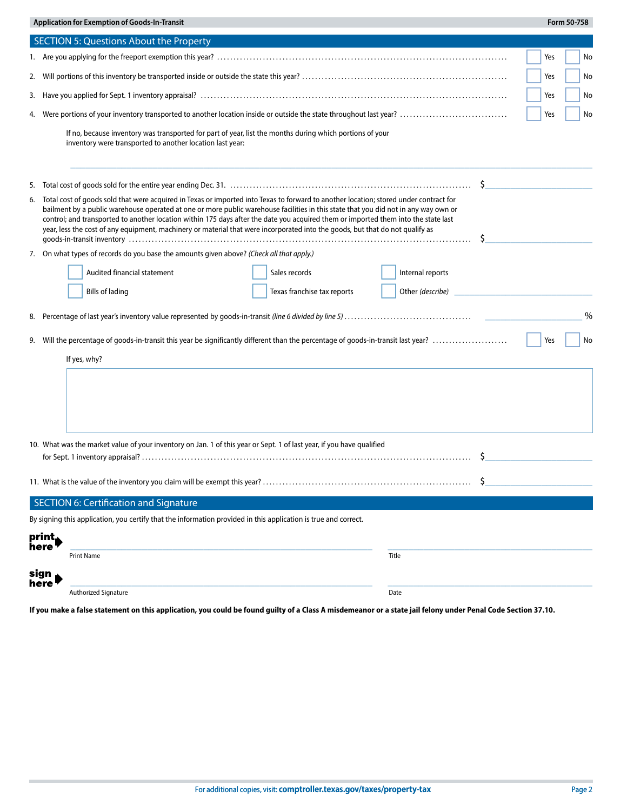|    |                                                                                                                                                                                                                                                                                                                                                                                                                                                                                                                                                     | <b>Application for Exemption of Goods-In-Transit</b>                                                                                                                  |  |                             |       |                  |    |     | Form 50-758 |      |
|----|-----------------------------------------------------------------------------------------------------------------------------------------------------------------------------------------------------------------------------------------------------------------------------------------------------------------------------------------------------------------------------------------------------------------------------------------------------------------------------------------------------------------------------------------------------|-----------------------------------------------------------------------------------------------------------------------------------------------------------------------|--|-----------------------------|-------|------------------|----|-----|-------------|------|
|    |                                                                                                                                                                                                                                                                                                                                                                                                                                                                                                                                                     | <b>SECTION 5: Questions About the Property</b>                                                                                                                        |  |                             |       |                  |    |     |             |      |
|    |                                                                                                                                                                                                                                                                                                                                                                                                                                                                                                                                                     |                                                                                                                                                                       |  |                             |       |                  |    | Yes |             | No   |
| 2. |                                                                                                                                                                                                                                                                                                                                                                                                                                                                                                                                                     |                                                                                                                                                                       |  |                             |       |                  |    | Yes |             | No   |
| 3. |                                                                                                                                                                                                                                                                                                                                                                                                                                                                                                                                                     |                                                                                                                                                                       |  |                             |       |                  |    | Yes |             | No   |
| 4. |                                                                                                                                                                                                                                                                                                                                                                                                                                                                                                                                                     |                                                                                                                                                                       |  |                             |       |                  |    | Yes |             | No   |
|    |                                                                                                                                                                                                                                                                                                                                                                                                                                                                                                                                                     | If no, because inventory was transported for part of year, list the months during which portions of your<br>inventory were transported to another location last year: |  |                             |       |                  |    |     |             |      |
| 5. |                                                                                                                                                                                                                                                                                                                                                                                                                                                                                                                                                     |                                                                                                                                                                       |  |                             |       |                  | \$ |     |             |      |
| 6. | Total cost of goods sold that were acquired in Texas or imported into Texas to forward to another location; stored under contract for<br>bailment by a public warehouse operated at one or more public warehouse facilities in this state that you did not in any way own or<br>control; and transported to another location within 175 days after the date you acquired them or imported them into the state last<br>year, less the cost of any equipment, machinery or material that were incorporated into the goods, but that do not qualify as |                                                                                                                                                                       |  |                             |       |                  | Ŝ  |     |             |      |
|    |                                                                                                                                                                                                                                                                                                                                                                                                                                                                                                                                                     | 7. On what types of records do you base the amounts given above? (Check all that apply.)                                                                              |  |                             |       |                  |    |     |             |      |
|    |                                                                                                                                                                                                                                                                                                                                                                                                                                                                                                                                                     | Audited financial statement                                                                                                                                           |  | Sales records               |       | Internal reports |    |     |             |      |
|    |                                                                                                                                                                                                                                                                                                                                                                                                                                                                                                                                                     | <b>Bills of lading</b>                                                                                                                                                |  | Texas franchise tax reports |       |                  |    |     |             |      |
| 8. |                                                                                                                                                                                                                                                                                                                                                                                                                                                                                                                                                     |                                                                                                                                                                       |  |                             |       |                  |    |     |             | $\%$ |
|    |                                                                                                                                                                                                                                                                                                                                                                                                                                                                                                                                                     |                                                                                                                                                                       |  |                             |       |                  |    |     |             |      |
|    | Will the percentage of goods-in-transit this year be significantly different than the percentage of goods-in-transit last year?<br>Yes<br>No<br>9.                                                                                                                                                                                                                                                                                                                                                                                                  |                                                                                                                                                                       |  |                             |       |                  |    |     |             |      |
|    |                                                                                                                                                                                                                                                                                                                                                                                                                                                                                                                                                     | If yes, why?                                                                                                                                                          |  |                             |       |                  |    |     |             |      |
|    |                                                                                                                                                                                                                                                                                                                                                                                                                                                                                                                                                     |                                                                                                                                                                       |  |                             |       |                  |    |     |             |      |
|    |                                                                                                                                                                                                                                                                                                                                                                                                                                                                                                                                                     | 10. What was the market value of your inventory on Jan. 1 of this year or Sept. 1 of last year, if you have qualified                                                 |  |                             |       |                  |    |     |             |      |
|    |                                                                                                                                                                                                                                                                                                                                                                                                                                                                                                                                                     | 11. What is the value of the inventory you claim will be exempt this year?                                                                                            |  |                             |       |                  |    |     |             |      |
|    |                                                                                                                                                                                                                                                                                                                                                                                                                                                                                                                                                     | <b>SECTION 6: Certification and Signature</b>                                                                                                                         |  |                             |       |                  |    |     |             |      |
|    |                                                                                                                                                                                                                                                                                                                                                                                                                                                                                                                                                     | By signing this application, you certify that the information provided in this application is true and correct.                                                       |  |                             |       |                  |    |     |             |      |
|    | print,                                                                                                                                                                                                                                                                                                                                                                                                                                                                                                                                              |                                                                                                                                                                       |  |                             |       |                  |    |     |             |      |
|    | here                                                                                                                                                                                                                                                                                                                                                                                                                                                                                                                                                | <b>Print Name</b>                                                                                                                                                     |  |                             | Title |                  |    |     |             |      |
|    | sign                                                                                                                                                                                                                                                                                                                                                                                                                                                                                                                                                |                                                                                                                                                                       |  |                             |       |                  |    |     |             |      |
|    | here'                                                                                                                                                                                                                                                                                                                                                                                                                                                                                                                                               | Authorized Signature                                                                                                                                                  |  |                             | Date  |                  |    |     |             |      |

**If you make a false statement on this application, you could be found guilty of a Class A misdemeanor or a state jail felony under Penal Code Section 37.10.**